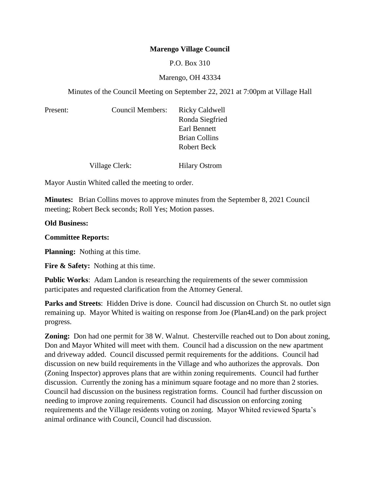# **Marengo Village Council**

## P.O. Box 310

## Marengo, OH 43334

Minutes of the Council Meeting on September 22, 2021 at 7:00pm at Village Hall

| Present: | Council Members: | <b>Ricky Caldwell</b><br>Ronda Siegfried |
|----------|------------------|------------------------------------------|
|          |                  | Earl Bennett                             |
|          |                  | <b>Brian Collins</b>                     |
|          |                  | Robert Beck                              |
|          | Village Clerk:   | <b>Hilary Ostrom</b>                     |

Mayor Austin Whited called the meeting to order.

**Minutes:** Brian Collins moves to approve minutes from the September 8, 2021 Council meeting; Robert Beck seconds; Roll Yes; Motion passes.

#### **Old Business:**

### **Committee Reports:**

**Planning:** Nothing at this time.

**Fire & Safety:** Nothing at this time.

**Public Works**: Adam Landon is researching the requirements of the sewer commission participates and requested clarification from the Attorney General.

Parks and Streets: Hidden Drive is done. Council had discussion on Church St. no outlet sign remaining up. Mayor Whited is waiting on response from Joe (Plan4Land) on the park project progress.

**Zoning:** Don had one permit for 38 W. Walnut. Chesterville reached out to Don about zoning, Don and Mayor Whited will meet with them. Council had a discussion on the new apartment and driveway added. Council discussed permit requirements for the additions. Council had discussion on new build requirements in the Village and who authorizes the approvals. Don (Zoning Inspector) approves plans that are within zoning requirements. Council had further discussion. Currently the zoning has a minimum square footage and no more than 2 stories. Council had discussion on the business registration forms. Council had further discussion on needing to improve zoning requirements. Council had discussion on enforcing zoning requirements and the Village residents voting on zoning. Mayor Whited reviewed Sparta's animal ordinance with Council, Council had discussion.